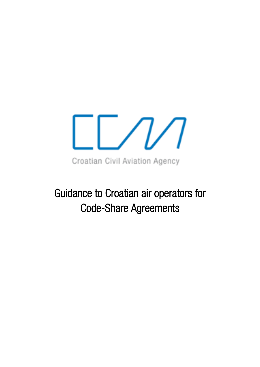

Guidance to Croatian air operators for Code-Share Agreements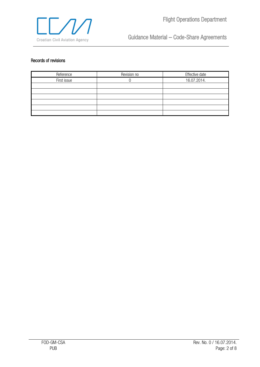

#### <span id="page-1-0"></span>Records of revisions

| Reference   | Revision no | Effective date |
|-------------|-------------|----------------|
| First issue |             | 16.07.2014.    |
|             |             |                |
|             |             |                |
|             |             |                |
|             |             |                |
|             |             |                |
|             |             |                |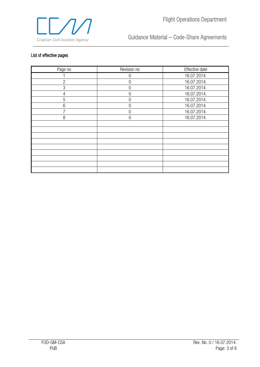

#### <span id="page-2-0"></span>List of effective pages

| Page no        | Revision no | Effective date |
|----------------|-------------|----------------|
|                | 0           | 16.07.2014.    |
| $\overline{2}$ | 0           | 16.07.2014.    |
| 3              | 0           | 16.07.2014.    |
| $\overline{4}$ | O           | 16.07.2014.    |
| 5              | 0           | 16.07.2014.    |
| 6              | 0           | 16.07.2014.    |
|                | O           | 16.07.2014.    |
| 8              | $\Omega$    | 16.07.2014.    |
|                |             |                |
|                |             |                |
|                |             |                |
|                |             |                |
|                |             |                |
|                |             |                |
|                |             |                |
|                |             |                |
|                |             |                |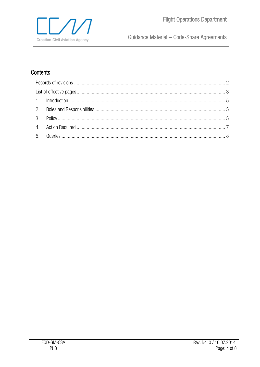# Contents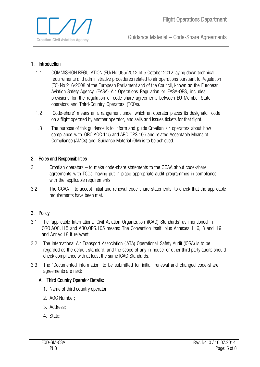

#### <span id="page-4-0"></span>1. Introduction

- 1.1 COMMISSION REGULATION (EU) No 965/2012 of 5 October 2012 laying down technical requirements and administrative procedures related to air operations pursuant to Regulation (EC) No 216/2008 of the European Parliament and of the Council, known as the European Aviation Safety Agency (EASA) Air Operations Regulation or EASA-OPS, includes provisions for the regulation of code-share agreements between EU Member State operators and Third-Country Operators (TCOs).
- 1.2 'Code-share' means an arrangement under which an operator places its designator code on a flight operated by another operator, and sells and issues tickets for that flight.
- 1.3 The purpose of this guidance is to inform and guide Croatian air operators about how compliance with ORO.AOC.115 and ARO.OPS.105 and related Acceptable Means of Compliance (AMCs) and Guidance Material (GM) is to be achieved.

#### <span id="page-4-1"></span>2. Roles and Responsibilities

- 3.1 Croatian operators to make code-share statements to the CCAA about code-share agreements with TCOs, having put in place appropriate audit programmes in compliance with the applicable requirements.
- 3.2 The CCAA to accept initial and renewal code-share statements; to check that the applicable requirements have been met.

#### <span id="page-4-2"></span>3. Policy

- 3.1 The 'applicable International Civil Aviation Organization (ICAO) Standards' as mentioned in ORO.AOC.115 and ARO.OPS.105 means: The Convention itself, plus Annexes 1, 6, 8 and 19; and Annex 18 if relevant.
- 3.2 The International Air Transport Association (IATA) Operational Safety Audit (IOSA) is to be regarded as the default standard, and the scope of any in-house or other third party audits should check compliance with at least the same ICAO Standards.
- 3.3 The 'Documented information' to be submitted for initial, renewal and changed code-share agreements are next:

#### A. Third Country Operator Details:

- 1. Name of third country operator;
- 2. AOC Number;
- 3. Address;
- 4. State;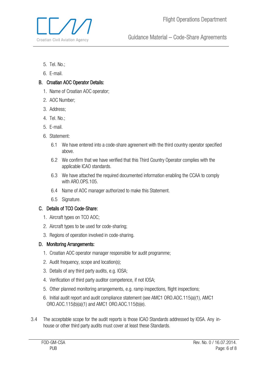

- 5. Tel. No.;
- 6. E-mail.

### B. Croatian AOC Operator Details:

- 1. Name of Croatian AOC operator;
- 2. AOC Number;
- 3. Address;
- 4. Tel. No.;
- 5. E-mail.
- 6. Statement:
	- 6.1 We have entered into a code-share agreement with the third country operator specified above.
	- 6.2 We confirm that we have verified that this Third Country Operator complies with the applicable ICAO standards.
	- 6.3 We have attached the required documented information enabling the CCAA to comply with ARO.OPS.105.
	- 6.4 Name of AOC manager authorized to make this Statement.
	- 6.5 Signature.

#### C. Details of TCO Code-Share:

- 1. Aircraft types on TCO AOC;
- 2. Aircraft types to be used for code-sharing;
- 3. Regions of operation involved in code-sharing.

#### D. Monitoring Arrangements:

- 1. Croatian AOC operator manager responsible for audit programme;
- 2. Audit frequency, scope and location(s);
- 3. Details of any third party audits, e.g. IOSA;
- 4. Verification of third party auditor competence, if not IOSA;
- 5. Other planned monitoring arrangements, e.g. ramp inspections, flight inspections;
- 6. Initial audit report and audit compliance statement (see AMC1 ORO.AOC.115(a)(1), AMC1 ORO.AOC.115(b)(a)(1) and AMC1 ORO.AOC.115(b)(e).
- 3.4 The acceptable scope for the audit reports is those ICAO Standards addressed by IOSA. Any inhouse or other third party audits must cover at least these Standards.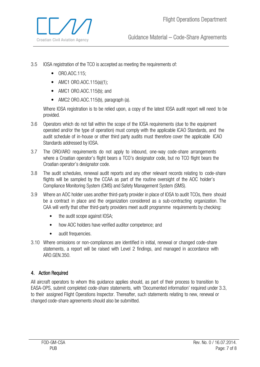- 3.5 IOSA registration of the TCO is accepted as meeting the requirements of:
	- ORO.AOC.115;
	- AMC1 ORO.AOC.115(a)(1);
	- AMC1 ORO.AOC.115(b); and
	- AMC2 ORO.AOC.115(b), paragraph (a).

Where IOSA registration is to be relied upon, a copy of the latest IOSA audit report will need to be provided.

- 3.6 Operators which do not fall within the scope of the IOSA requirements (due to the equipment operated and/or the type of operation) must comply with the applicable ICAO Standards, and the audit schedule of in-house or other third party audits must therefore cover the applicable ICAO Standards addressed by IOSA.
- 3.7 The ORO/ARO requirements do not apply to inbound, one-way code-share arrangements where a Croatian operator's flight bears a TCO's designator code, but no TCO flight bears the Croatian operator's designator code.
- 3.8 The audit schedules, renewal audit reports and any other relevant records relating to code-share flights will be sampled by the CCAA as part of the routine oversight of the AOC holder's Compliance Monitoring System (CMS) and Safety Management System (SMS).
- 3.9 Where an AOC holder uses another third-party provider in place of IOSA to audit TCOs, there should be a contract in place and the organization considered as a sub-contracting organization. The CAA will verify that other third-party providers meet audit programme requirements by checking:
	- the audit scope against IOSA;
	- how AOC holders have verified auditor competence; and
	- audit frequencies.
- 3.10 Where omissions or non-compliances are identified in initial, renewal or changed code-share statements, a report will be raised with Level 2 findings, and managed in accordance with ARO.GEN.350.

## <span id="page-6-0"></span>4. Action Required

All aircraft operators to whom this guidance applies should, as part of their process to transition to EASA-OPS, submit completed code-share statements, with 'Documented information' required under 3.3, to their assigned Flight Operations Inspector. Thereafter, such statements relating to new, renewal or changed code-share agreements should also be submitted.